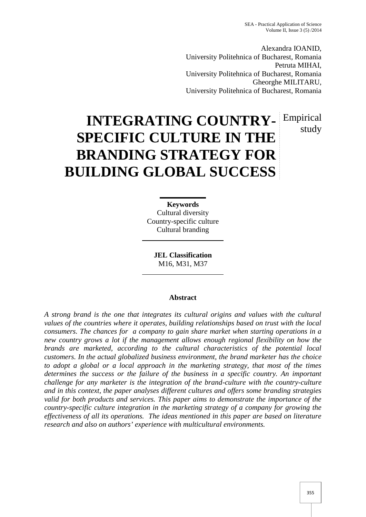Alexandra IOANID, University Politehnica of Bucharest, Romania Petruta MIHAI, University Politehnica of Bucharest, Romania Gheorghe MILITARU, University Politehnica of Bucharest, Romania

# **INTEGRATING COUNTRY-** Empirical **SPECIFIC CULTURE IN THE BRANDING STRATEGY FOR BUILDING GLOBAL SUCCESS** study

**Keywords** Cultural diversity Country-specific culture Cultural branding

**JEL Classification** M16, M31, M37

## **Abstract**

*A strong brand is the one that integrates its cultural origins and values with the cultural values of the countries where it operates, building relationships based on trust with the local consumers. The chances for a company to gain share market when starting operations in a new country grows a lot if the management allows enough regional flexibility on how the brands are marketed, according to the cultural characteristics of the potential local customers. In the actual globalized business environment, the brand marketer has the choice to adopt a global or a local approach in the marketing strategy, that most of the times determines the success or the failure of the business in a specific country. An important challenge for any marketer is the integration of the brand-culture with the country-culture and in this context, the paper analyses different cultures and offers some branding strategies valid for both products and services. This paper aims to demonstrate the importance of the country-specific culture integration in the marketing strategy of a company for growing the effectiveness of all its operations. The ideas mentioned in this paper are based on literature research and also on authors' experience with multicultural environments.*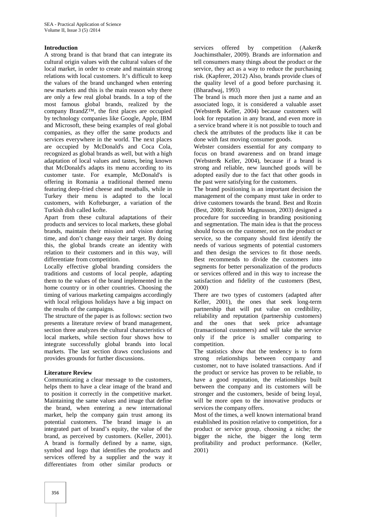## **Introduction**

A strong brand is that brand that can integrate its cultural origin values with the cultural values of the local market, in order to create and maintain strong relations with local customers. It's difficult to keep the values of the brand unchanged when entering new markets and this is the main reason why there are only a few real global brands. In a top of the most famous global brands, realized by the company BrandZ™, the first places are occupied by technology companies like Google, Apple, IBM and Microsoft, these being examples of real global companies, as they offer the same products and services everywhere in the world. The next places are occupied by McDonald's and Coca Cola, recognized as global brands as well, but with a high adaptation of local values and tastes, being known that McDonald's adapts its menu according to its customer taste. For example, McDonald's is offering in Romania a traditional themed menu featuring deep-fried cheese and meatballs, while in Turkey their menu is adapted to the local customers, with Kofteburger, a variation of the Turkish dish called kofte.

Apart from these cultural adaptations of their products and services to local markets, these global brands, maintain their mission and vision during time, and don't change easy their target. By doing this, the global brands create an identity with relation to their customers and in this way, will differentiate from competition.

Locally effective global branding considers the traditions and customs of local people, adapting them to the values of the brand implemented in the home country or in other countries. Choosing the timing of various marketing campaigns accordingly with local religious holidays have a big impact on the results of the campaigns.

The structure of the paper is as follows: section two presents a literature review of brand management, section three analyzes the cultural characteristics of local markets, while section four shows how to integrate successfully global brands into local markets. The last section draws conclusions and provides grounds for further discussions.

## **Literature Review**

Communicating a clear message to the customers, helps them to have a clear image of the brand and to position it correctly in the competitive market. Maintaining the same values and image that define the brand, when entering a new international market, help the company gain trust among its potential customers. The brand image is an integrated part of brand's equity, the value of the brand, as perceived by customers. (Keller, 2001). A brand is formally defined by a name, sign, symbol and logo that identifies the products and services offered by a supplier and the way it differentiates from other similar products or

services offered by competition (Aaker& Joachimsthaler, 2009). Brands are information and tell consumers many things about the product or the service, they act as a way to reduce the purchasing risk. (Kapferer, 2012) Also, brands provide clues of the quality level of a good before purchasing it. (Bharadwaj, 1993)

The brand is much more then just a name and an associated logo, it is considered a valuable asset (Webster& Keller, 2004) because customers will look for reputation in any brand, and even more in a service brand where it is not possible to touch and check the attributes of the products like it can be done with fast moving consumer goods.

Webster considers essential for any company to focus on brand awareness and on brand image (Webster& Keller, 2004), because if a brand is strong and reliable, new launched goods will be adopted easily due to the fact that other goods in the past were satisfying for the customers.

The brand positioning is an important decision the management of the company must take in order to drive customers towards the brand. Best and Rozin (Best, 2000; Rozin& Magnusson, 2003) designed a procedure for succeeding in branding positioning and segmentation. The main idea is that the process should focus on the customer, not on the product or service, so the company should first identify the needs of various segments of potential customers and then design the services to fit those needs. Best recommends to divide the customers into segments for better personalization of the products or services offered and in this way to increase the satisfaction and fidelity of the customers (Best, 2000)

There are two types of customers (adapted after Keller, 2001), the ones that seek long-term partnership that will put value on credibility, reliability and reputation (partnership customers) and the ones that seek price advantage (transactional customers) and will take the service only if the price is smaller comparing to competition.

The statistics show that the tendency is to form strong relationships between company and customer, not to have isolated transactions. And if the product or service has proven to be reliable, to have a good reputation, the relationships built between the company and its customers will be stronger and the customers, beside of being loyal, will be more open to the innovative products or services the company offers.

Most of the times, a well known international brand established its position relative to competition, for a product or service group, choosing a niche; the bigger the niche, the bigger the long term profitability and product performance. (Keller, 2001)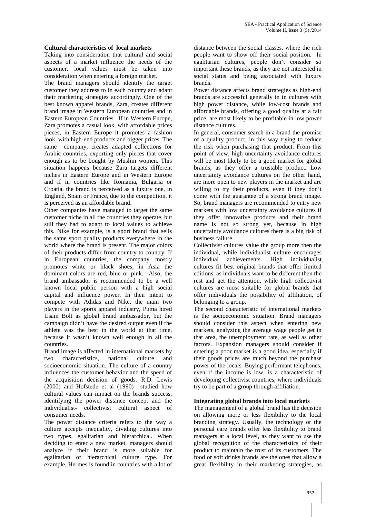## **Cultural characteristics of local markets**

Taking into consideration that cultural and social aspects of a market influence the needs of the customer, local values must be taken into consideration when entering a foreign market.

The brand managers should identify the target customer they address to in each country and adapt their marketing strategies accordingly. One of the best known apparel brands, Zara, creates different brand image in Western European countries and in Eastern European Countries. If in Western Europe, Zara promotes a casual look, with affordable prices pieces, in Eastern Europe it promotes a fashion look, with high-end products and bigger prices. The same company, creates adapted collections for Arabic countries, exporting only pieces that cover enough as to be bought by Muslim women. This situation happens because Zara targets different niches in Eastern Europe and in Western Europe and if in countries like Romania, Bulgaria or Croatia, the brand is perceived as a luxury one, in England, Spain or France, due to the competition, it is perceived as an affordable brand.

Other companies have managed to target the same customer niche in all the countries they operate, but still they had to adapt to local values to achieve this. Nike for example, is a sport brand that sells the same sport quality products everywhere in the world where the brand is present. The major colors of their products differ from country to country. If in European countries, the company mostly promotes white or black shoes, in Asia the dominant colors are red, blue or pink. Also, the brand ambassador is recommended to be a well known local public person with a high social capital and influence power. In their intent to compete with Adidas and Nike, the main two players in the sports apparel industry, Puma hired Usain Bolt as global brand ambassador, but the campaign didn't have the desired output even if the athlete was the best in the world at that time, because it wasn't known well enough in all the countries.

Brand image is affected in international markets by two characteristics, national culture and socioeconomic situation. The culture of a country influences the customer behavior and the speed of the acquisition decision of goods. R.D. Lewis (2000) and Hofstede et al (1990) studied how cultural values can impact on the brands success, identifying the power distance concept and the individualist- collectivist cultural aspect of consumer needs.

The power distance criteria refers to the way a culture accepts inequality, dividing cultures into two types, egalitarian and hierarchical. When deciding to enter a new market, managers should analyze if their brand is more suitable for egalitarian or hierarchical culture type. For example, Hermes is found in countries with a lot of

distance between the social classes, where the rich people want to show off their social position. In egalitarian cultures, people don't consider so important these brands, as they are not interested in social status and being associated with luxury brands.

Power distance affects brand strategies as high-end brands are successful generally in in cultures with high power distance, while low-cost brands and affordable brands, offering a good quality at a fair price, are most likely to be profitable in low power distance cultures.

In general, consumer search in a brand the promise of a quality product, in this way trying to reduce the risk when purchasing that product. From this point of view, high uncertainty avoidance cultures will be most likely to be a good market for global brands, as they offer a trustable product. Low uncertainty avoidance cultures on the other hand, are more open to new players in the market and are willing to try their products, even if they don't come with the guarantee of a strong brand image. So, brand managers are recommended to entry new markets with low uncertainty avoidance cultures if they offer innovative products and their brand name is not so strong yet, because in high uncertainty avoidance cultures there is a big risk of business failure.

Collectivist cultures value the group more then the individual, while individualist culture encourages achievements. High individualist cultures fit best original brands that offer limited editions, as individuals want to be different then the rest and get the attention, while high collectivist cultures are most suitable for global brands that offer individuals the possibility of affiliation, of belonging to a group.

The second characteristic of international markets is the socioeconomic situation. Brand managers should consider this aspect when entering new markets, analyzing the average wage people get in that area, the unemployment rate, as well as other factors. Expansion managers should consider if entering a poor market is a good idea, especially if their goods prices are much beyond the purchase power of the locals. Buying performant telephones, even if the income is low, is a characteristic of developing collectivist countries, where individuals try to be part of a group through affiliation.

### **Integrating global brands into local markets**

The management of a global brand has the decision on allowing more or less flexibility to the local branding strategy. Usually, the technology or the personal care brands offer less flexibility to brand managers at a local level, as they want to use the global recognition of the characteristics of their product to maintain the trust of its customers. The food or soft drinks brands are the ones that allow a great flexibility in their marketing strategies, as